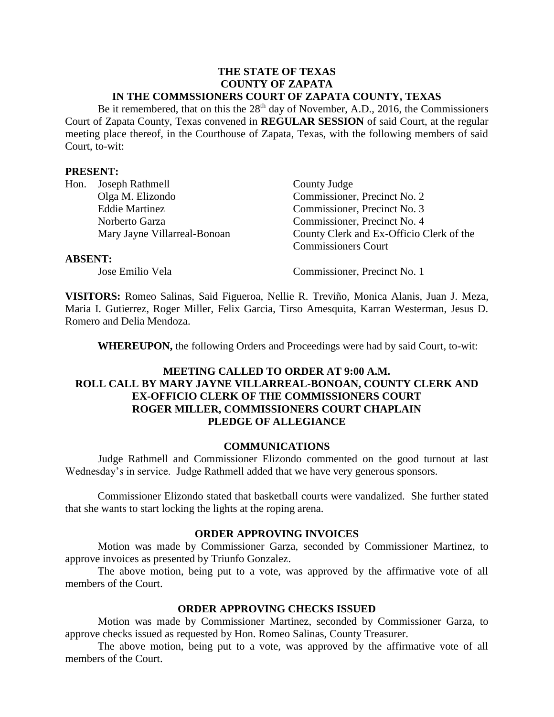### **THE STATE OF TEXAS COUNTY OF ZAPATA IN THE COMMSSIONERS COURT OF ZAPATA COUNTY, TEXAS**

Be it remembered, that on this the  $28<sup>th</sup>$  day of November, A.D., 2016, the Commissioners Court of Zapata County, Texas convened in **REGULAR SESSION** of said Court, at the regular meeting place thereof, in the Courthouse of Zapata, Texas, with the following members of said Court, to-wit:

#### **PRESENT:**

|                | Hon. Joseph Rathmell         | County Judge                             |
|----------------|------------------------------|------------------------------------------|
|                | Olga M. Elizondo             | Commissioner, Precinct No. 2             |
|                | <b>Eddie Martinez</b>        | Commissioner, Precinct No. 3             |
|                | Norberto Garza               | Commissioner, Precinct No. 4             |
|                | Mary Jayne Villarreal-Bonoan | County Clerk and Ex-Officio Clerk of the |
|                |                              | <b>Commissioners Court</b>               |
| <b>ABSENT:</b> |                              |                                          |

Jose Emilio Vela Commissioner, Precinct No. 1

**VISITORS:** Romeo Salinas, Said Figueroa, Nellie R. Treviño, Monica Alanis, Juan J. Meza, Maria I. Gutierrez, Roger Miller, Felix Garcia, Tirso Amesquita, Karran Westerman, Jesus D. Romero and Delia Mendoza.

**WHEREUPON,** the following Orders and Proceedings were had by said Court, to-wit:

# **MEETING CALLED TO ORDER AT 9:00 A.M. ROLL CALL BY MARY JAYNE VILLARREAL-BONOAN, COUNTY CLERK AND EX-OFFICIO CLERK OF THE COMMISSIONERS COURT ROGER MILLER, COMMISSIONERS COURT CHAPLAIN PLEDGE OF ALLEGIANCE**

# **COMMUNICATIONS**

Judge Rathmell and Commissioner Elizondo commented on the good turnout at last Wednesday's in service. Judge Rathmell added that we have very generous sponsors.

Commissioner Elizondo stated that basketball courts were vandalized. She further stated that she wants to start locking the lights at the roping arena.

### **ORDER APPROVING INVOICES**

Motion was made by Commissioner Garza, seconded by Commissioner Martinez, to approve invoices as presented by Triunfo Gonzalez.

The above motion, being put to a vote, was approved by the affirmative vote of all members of the Court.

# **ORDER APPROVING CHECKS ISSUED**

Motion was made by Commissioner Martinez, seconded by Commissioner Garza, to approve checks issued as requested by Hon. Romeo Salinas, County Treasurer.

The above motion, being put to a vote, was approved by the affirmative vote of all members of the Court.